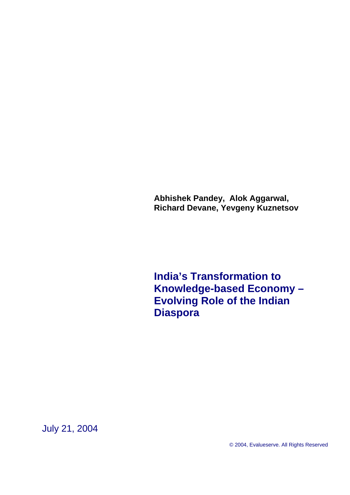<span id="page-0-0"></span>**Abhishek Pandey, Alok Aggarwal, Richard Devane, Yevgeny Kuznetsov** 

**India's Transformation to Knowledge-based Economy – Evolving Role of the Indian Diaspora** 

July 21, 2004

© 2004, Evalueserve. All Rights Reserved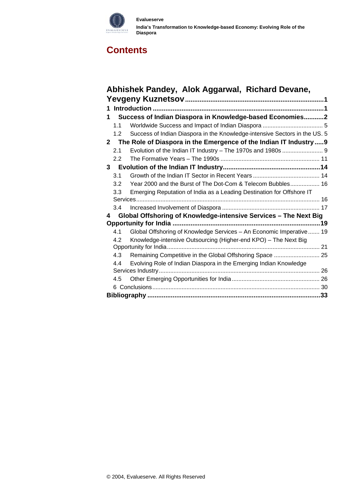

#### **Evalueserve India's Transformation to Knowledge-based Economy: Evolving Role of the Diaspora**

# **[Contents](#page-31-0)**

|   |               | Abhishek Pandey, Alok Aggarwal, Richard Devane,                            |  |
|---|---------------|----------------------------------------------------------------------------|--|
|   |               |                                                                            |  |
|   |               |                                                                            |  |
| 1 |               | Success of Indian Diaspora in Knowledge-based Economies2                   |  |
|   | 1.1           |                                                                            |  |
|   | 1.2           | Success of Indian Diaspora in the Knowledge-intensive Sectors in the US. 5 |  |
|   |               | 2 The Role of Diaspora in the Emergence of the Indian IT Industry9         |  |
|   | 2.1           | Evolution of the Indian IT Industry - The 1970s and 1980s  9               |  |
|   | $2.2^{\circ}$ |                                                                            |  |
| 3 |               |                                                                            |  |
|   | 3.1           |                                                                            |  |
|   | 3.2           | Year 2000 and the Burst of The Dot-Com & Telecom Bubbles 16                |  |
|   | 3.3           | Emerging Reputation of India as a Leading Destination for Offshore IT      |  |
|   |               |                                                                            |  |
|   | 3.4           |                                                                            |  |
| 4 |               | Global Offshoring of Knowledge-intensive Services - The Next Big           |  |
|   |               |                                                                            |  |
|   | 4.1           | Global Offshoring of Knowledge Services - An Economic Imperative  19       |  |
|   | 4.2           | Knowledge-intensive Outsourcing (Higher-end KPO) - The Next Big            |  |
|   |               |                                                                            |  |
|   | 4.3           | Remaining Competitive in the Global Offshoring Space  25                   |  |
|   | 4.4           | Evolving Role of Indian Diaspora in the Emerging Indian Knowledge          |  |
|   |               |                                                                            |  |
|   | 4.5           |                                                                            |  |
|   |               |                                                                            |  |
|   |               |                                                                            |  |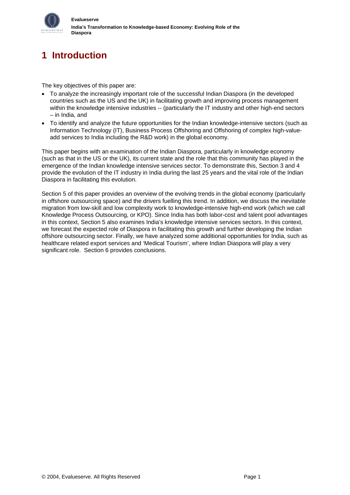<span id="page-2-0"></span>

# **1 Introduction**

The key objectives of this paper are:

- To analyze the increasingly important role of the successful Indian Diaspora (in the developed countries such as the US and the UK) in facilitating growth and improving process management within the knowledge intensive industries -- (particularly the IT industry and other high-end sectors – in India, and
- To identify and analyze the future opportunities for the Indian knowledge-intensive sectors (such as Information Technology (IT), Business Process Offshoring and Offshoring of complex high-valueadd services to India including the R&D work) in the global economy.

This paper begins with an examination of the Indian Diaspora, particularly in knowledge economy (such as that in the US or the UK), its current state and the role that this community has played in the emergence of the Indian knowledge intensive services sector. To demonstrate this, Section 3 and 4 provide the evolution of the IT industry in India during the last 25 years and the vital role of the Indian Diaspora in facilitating this evolution.

Section 5 of this paper provides an overview of the evolving trends in the global economy (particularly in offshore outsourcing space) and the drivers fuelling this trend. In addition, we discuss the inevitable migration from low-skill and low complexity work to knowledge-intensive high-end work (which we call Knowledge Process Outsourcing, or KPO). Since India has both labor-cost and talent pool advantages in this context, Section 5 also examines India's knowledge intensive services sectors. In this context, we forecast the expected role of Diaspora in facilitating this growth and further developing the Indian offshore outsourcing sector. Finally, we have analyzed some additional opportunities for India, such as healthcare related export services and 'Medical Tourism', where Indian Diaspora will play a very significant role. Section 6 provides conclusions.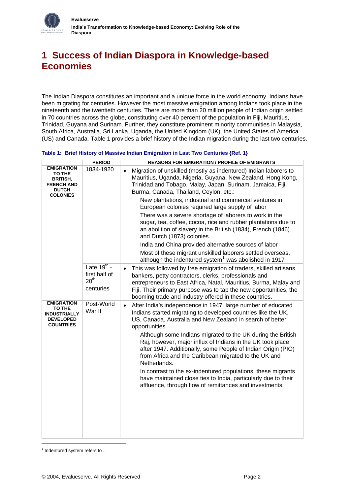<span id="page-3-0"></span>

# **1 Success of Indian Diaspora in Knowledge-based Economies**

The Indian Diaspora constitutes an important and a unique force in the world economy. Indians have been migrating for centuries. However the most massive emigration among Indians took place in the nineteenth and the twentieth centuries. There are more than 20 million people of Indian origin settled in 70 countries across the globe, constituting over 40 percent of the population in Fiji, Mauritius, Trinidad, Guyana and Surinam. Further, they constitute prominent minority communities in Malaysia, South Africa, Australia, Sri Lanka, Uganda, the United Kingdom (UK), the United States of America (US) and Canada. Table 1 provides a brief history of the Indian migration during the last two centuries.

#### **Table 1: Brief History of Massive Indian Emigration in Last Two Centuries {Ref. [1](#page-34-1)}**

|                                                                                                               | <b>PERIOD</b>                                                      | <b>REASONS FOR EMIGRATION / PROFILE OF EMIGRANTS</b>                                                                                                                                                                                                                                                                                                                                                                                                                                                                                                                                                                                                                                                                                                                                   |
|---------------------------------------------------------------------------------------------------------------|--------------------------------------------------------------------|----------------------------------------------------------------------------------------------------------------------------------------------------------------------------------------------------------------------------------------------------------------------------------------------------------------------------------------------------------------------------------------------------------------------------------------------------------------------------------------------------------------------------------------------------------------------------------------------------------------------------------------------------------------------------------------------------------------------------------------------------------------------------------------|
| <b>EMIGRATION</b><br><b>TO THE</b><br><b>BRITISH,</b><br><b>FRENCH AND</b><br><b>DUTCH</b><br><b>COLONIES</b> | 1834-1920                                                          | Migration of unskilled (mostly as indentured) Indian laborers to<br>$\bullet$<br>Mauritius, Uganda, Nigeria, Guyana, New Zealand, Hong Kong,<br>Trinidad and Tobago, Malay, Japan, Surinam, Jamaica, Fiji,<br>Burma, Canada, Thailand, Ceylon, etc.:<br>New plantations, industrial and commercial ventures in<br>European colonies required large supply of labor<br>There was a severe shortage of laborers to work in the<br>sugar, tea, coffee, cocoa, rice and rubber plantations due to<br>an abolition of slavery in the British (1834), French (1846)<br>and Dutch (1873) colonies<br>India and China provided alternative sources of labor<br>Most of these migrant unskilled laborers settled overseas,<br>although the indentured system <sup>1</sup> was abolished in 1917 |
|                                                                                                               | Late $19^{th}$ -<br>first half of<br>20 <sup>th</sup><br>centuries | This was followed by free emigration of traders, skilled artisans,<br>$\bullet$<br>bankers, petty contractors, clerks, professionals and<br>entrepreneurs to East Africa, Natal, Mauritius, Burma, Malay and<br>Fiji. Their primary purpose was to tap the new opportunities, the<br>booming trade and industry offered in these countries.                                                                                                                                                                                                                                                                                                                                                                                                                                            |
| <b>EMIGRATION</b><br>TO THE<br><b>INDUSTRIALLY</b><br><b>DEVELOPED</b><br><b>COUNTRIES</b>                    | Post-World<br>War II                                               | After India's independence in 1947, large number of educated<br>$\bullet$<br>Indians started migrating to developed countries like the UK,<br>US, Canada, Australia and New Zealand in search of better<br>opportunities.<br>Although some Indians migrated to the UK during the British<br>Raj, however, major influx of Indians in the UK took place<br>after 1947. Additionally, some People of Indian Origin (PIO)<br>from Africa and the Caribbean migrated to the UK and<br>Netherlands.<br>In contrast to the ex-indentured populations, these migrants<br>have maintained close ties to India, particularly due to their<br>affluence, through flow of remittances and investments.                                                                                            |

<span id="page-3-1"></span> $1$  Indentured system refers to ..

<span id="page-3-2"></span>-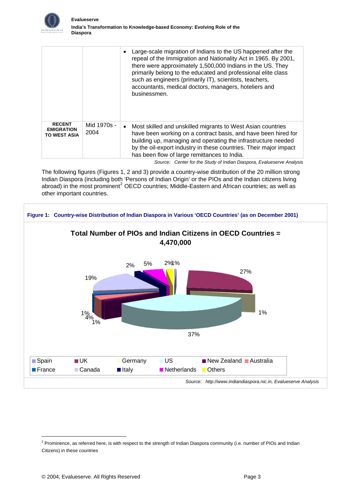

|                                                           |                     | Large-scale migration of Indians to the US happened after the<br>repeal of the Immigration and Nationality Act in 1965. By 2001,<br>there were approximately 1,500,000 Indians in the US. They<br>primarily belong to the educated and professional elite class<br>such as engineers (primarily IT), scientists, teachers,<br>accountants, medical doctors, managers, hoteliers and<br>businessmen. |
|-----------------------------------------------------------|---------------------|-----------------------------------------------------------------------------------------------------------------------------------------------------------------------------------------------------------------------------------------------------------------------------------------------------------------------------------------------------------------------------------------------------|
| <b>RECENT</b><br><b>EMIGRATION</b><br><b>TO WEST ASIA</b> | Mid 1970s -<br>2004 | Most skilled and unskilled migrants to West Asian countries<br>have been working on a contract basis, and have been hired for<br>building up, managing and operating the infrastructure needed<br>by the oil-export industry in these countries. Their major impact<br>has been flow of large remittances to India.                                                                                 |
|                                                           |                     | Course, Contentently Chick of Indian Discovery Euch provisional including                                                                                                                                                                                                                                                                                                                           |

*Source: Center for the Study of Indian Diaspora, Evalueserve Analysis* 

The following figures (Figures 1, 2 and 3) provide a country-wise distribution of the 20 million strong Indian Diaspora (including both 'Persons of Indian Origin' or the PIOs and the Indian citizens living abroad) in the most prominent<sup>[2](#page-3-2)</sup> OECD countries; Middle-Eastern and African countries; as well as other important countries.



-

<sup>&</sup>lt;sup>2</sup> Prominence, as referred here, is with respect to the strength of Indian Diaspora community (i.e. number of PIOs and Indian Citizens) in these countries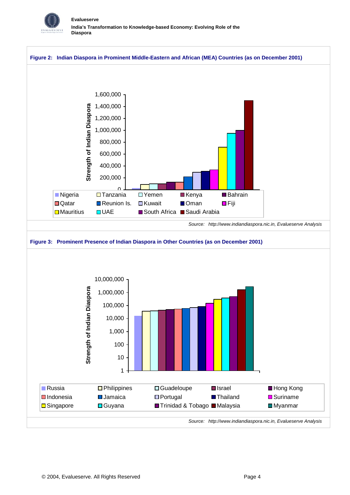

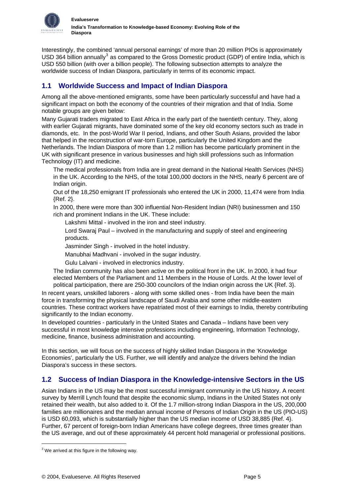<span id="page-6-0"></span>

Interestingly, the combined 'annual personal earnings' of more than 20 million PIOs is approximately USD [3](#page-6-1)64 billion annually<sup>3</sup> as compared to the Gross Domestic product (GDP) of entire India, which is USD 550 billion (with over a billion people). The following subsection attempts to analyze the worldwide success of Indian Diaspora, particularly in terms of its economic impact.

# **1.1 Worldwide Success and Impact of Indian Diaspora**

Among all the above-mentioned emigrants, some have been particularly successful and have had a significant impact on both the economy of the countries of their migration and that of India. Some notable groups are given below:

Many Gujarati traders migrated to East Africa in the early part of the twentieth century. They, along with earlier Gujarati migrants, have dominated some of the key old economy sectors such as trade in diamonds, etc. In the post-World War II period, Indians, and other South Asians, provided the labor that helped in the reconstruction of war-torn Europe, particularly the United Kingdom and the Netherlands. The Indian Diaspora of more than 1.2 million has become particularly prominent in the UK with significant presence in various businesses and high skill professions such as Information Technology (IT) and medicine.

The medical professionals from India are in great demand in the National Health Services (NHS) in the UK. According to the NHS, of the total 100,000 doctors in the NHS, nearly 6 percent are of Indian origin.

Out of the 18,250 emigrant IT professionals who entered the UK in 2000, 11,474 were from India {Ref. [2}](#page-34-2).

In 2000, there were more than 300 influential Non-Resident Indian (NRI) businessmen and 150 rich and prominent Indians in the UK. These include:

Lakshmi Mittal - involved in the iron and steel industry.

Lord Swaraj Paul – involved in the manufacturing and supply of steel and engineering products.

Jasminder Singh - involved in the hotel industry.

Manubhai Madhvani - involved in the sugar industry.

Gulu Lalvani - involved in electronics industry.

The Indian community has also been active on the political front in the UK. In 2000, it had four elected Members of the Parliament and 11 Members in the House of Lords. At the lower level of political participation, there are 250-[3](#page-34-3)00 councilors of the Indian origin across the UK {Ref. 3}.

In recent years, unskilled laborers - along with some skilled ones - from India have been the main force in transforming the physical landscape of Saudi Arabia and some other middle-eastern countries. These contract workers have repatriated most of their earnings to India, thereby contributing significantly to the Indian economy.

In developed countries - particularly in the United States and Canada – Indians have been very successful in most knowledge intensive professions including engineering, Information Technology, medicine, finance, business administration and accounting.

In this section, we will focus on the success of highly skilled Indian Diaspora in the 'Knowledge Economies', particularly the US. Further, we will identify and analyze the drivers behind the Indian Diaspora's success in these sectors.

# **1.2 Success of Indian Diaspora in the Knowledge-intensive Sectors in the US**

Asian Indians in the US may be the most successful immigrant community in the US history. A recent survey by Merrill Lynch found that despite the economic slump, Indians in the United States not only retained their wealth, but also added to it. Of the 1.7 million-strong Indian Diaspora in the US, 200,000 families are millionaires and the median annual income of Persons of Indian Origin in the US (PIO-US) is USD 60,093, which is substantially higher than the US median income of USD 38,885 {Ref. [4](#page-34-4)}. Further, 67 percent of foreign-born Indian Americans have college degrees, three times greater than the US average, and out of these approximately 44 percent hold managerial or professional positions.

-

<span id="page-6-1"></span> $3$  We arrived at this figure in the following way.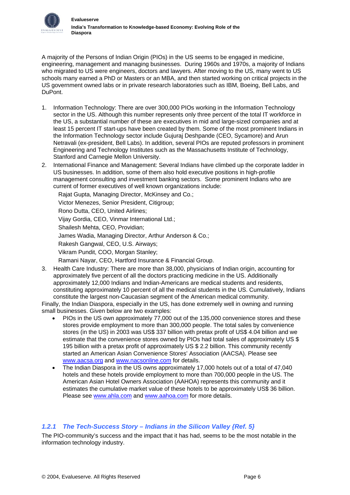

A majority of the Persons of Indian Origin (PIOs) in the US seems to be engaged in medicine, engineering, management and managing businesses. During 1960s and 1970s, a majority of Indians who migrated to US were engineers, doctors and lawyers. After moving to the US, many went to US schools many earned a PhD or Masters or an MBA, and then started working on critical projects in the US government owned labs or in private research laboratories such as IBM, Boeing, Bell Labs, and DuPont.

- 1. Information Technology: There are over 300,000 PIOs working in the Information Technology sector in the US. Although this number represents only three percent of the total IT workforce in the US, a substantial number of these are executives in mid and large-sized companies and at least 15 percent IT start-ups have been created by them. Some of the most prominent Indians in the Information Technology sector include Gujuraj Deshpande (CEO, Sycamore) and Arun Netravali (ex-president, Bell Labs). In addition, several PIOs are reputed professors in prominent Engineering and Technology Institutes such as the Massachusetts Institute of Technology, Stanford and Carnegie Mellon University.
- 2. International Finance and Management: Several Indians have climbed up the corporate ladder in US businesses. In addition, some of them also hold executive positions in high-profile management consulting and investment banking sectors. Some prominent Indians who are current of former executives of well known organizations include:

Rajat Gupta, Managing Director, McKinsey and Co.; Victor Menezes, Senior President, Citigroup; Rono Dutta, CEO, United Airlines; Vijay Gordia, CEO, Vinmar International Ltd.; Shailesh Mehta, CEO, Providian; James Wadia, Managing Director, Arthur Anderson & Co.; Rakesh Gangwal, CEO, U.S. Airways; Vikram Pundit, COO, Morgan Stanley; Ramani Nayar, CEO, Hartford Insurance & Financial Group.

3. Health Care Industry: There are more than 38,000, physicians of Indian origin, accounting for approximately five percent of all the doctors practicing medicine in the US. Additionally approximately 12,000 Indians and Indian-Americans are medical students and residents, constituting approximately 10 percent of all the medical students in the US. Cumulatively, Indians constitute the largest non-Caucasian segment of the American medical community.

Finally, the Indian Diaspora, especially in the US, has done extremely well in owning and running small businesses. Given below are two examples:

- PIOs in the US own approximately 77,000 out of the 135,000 convenience stores and these stores provide employment to more than 300,000 people. The total sales by convenience stores (in the US) in 2003 was US\$ 337 billion with pretax profit of US\$ 4.04 billion and we estimate that the convenience stores owned by PIOs had total sales of approximately US \$ 195 billion with a pretax profit of approximately US \$ 2.2 billion. This community recently started an American Asian Convenience Stores' Association (AACSA). Please see [www.aacsa.org](http://www.aacsa.org/) and [www.nacsonline.com](http://www.nacsonline.com/) for details.
- The Indian Diaspora in the US owns approximately 17,000 hotels out of a total of 47,040 hotels and these hotels provide employment to more than 700,000 people in the US. The American Asian Hotel Owners Association (AAHOA) represents this community and it estimates the cumulative market value of these hotels to be approximately US\$ 36 billion. Please see [www.ahla.com](http://www.ahla.com/) and [www.aahoa.com](http://www.aahoa.com/) for more details.

## *1.2.1 The Tech-Success Story – Indians in the Silicon Valley {Ref. [5](#page-34-5)}*

The PIO-community's success and the impact that it has had, seems to be the most notable in the information technology industry.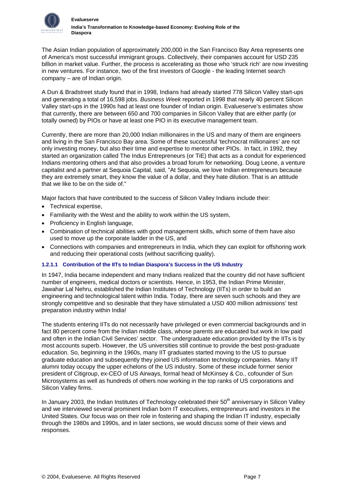

The Asian Indian population of approximately 200,000 in the San Francisco Bay Area represents one of America's most successful immigrant groups. Collectively, their companies account for USD 235 billion in market value. Further, the process is accelerating as those who 'struck rich' are now investing in new ventures. For instance, two of the first investors of Google - the leading Internet search company – are of Indian origin.

A Dun & Bradstreet study found that in 1998, Indians had already started 778 Silicon Valley start-ups and generating a total of 16,598 jobs. *Business Week* reported in 1998 that nearly 40 percent Silicon Valley start-ups in the 1990s had at least one founder of Indian origin. Evalueserve's estimates show that currently, there are between 650 and 700 companies in Silicon Valley that are either partly (or totally owned) by PIOs or have at least one PIO in its executive management team.

Currently, there are more than 20,000 Indian millionaires in the US and many of them are engineers and living in the San Francisco Bay area. Some of these successful 'technocrat millionaires' are not only investing money, but also their time and expertise to mentor other PIOs. In fact, in 1992, they started an organization called The Indus Entrepreneurs (or TiE) that acts as a conduit for experienced Indians mentoring others and that also provides a broad forum for networking. Doug Leone, a venture capitalist and a partner at Sequoia Capital, said, "At Sequoia, we love Indian entrepreneurs because they are extremely smart, they know the value of a dollar, and they hate dilution. That is an attitude that we like to be on the side of."

Major factors that have contributed to the success of Silicon Valley Indians include their:

- Technical expertise,
- Familiarity with the West and the ability to work within the US system,
- Proficiency in English language,
- Combination of technical abilities with good management skills, which some of them have also used to move up the corporate ladder in the US, and
- Connections with companies and entrepreneurs in India, which they can exploit for offshoring work and reducing their operational costs (without sacrificing quality).

## **1.2.1.1 Contribution of the IITs to Indian Diaspora's Success in the US Industry**

In 1947, India became independent and many Indians realized that the country did not have sufficient number of engineers, medical doctors or scientists. Hence, in 1953, the Indian Prime Minister, Jawahar Lal Nehru, established the Indian Institutes of Technology (IITs) in order to build an engineering and technological talent within India. Today, there are seven such schools and they are strongly competitive and so desirable that they have stimulated a USD 400 million admissions' test preparation industry within India!

The students entering IITs do not necessarily have privileged or even commercial backgrounds and in fact 80 percent come from the Indian middle class, whose parents are educated but work in low paid and often in the Indian Civil Services' sector. The undergraduate education provided by the IITs is by most accounts superb. However, the US universities still continue to provide the best post-graduate education. So, beginning in the 1960s, many IIT graduates started moving to the US to pursue graduate education and subsequently they joined US information technology companies. Many IIT alumni today occupy the upper echelons of the US industry. Some of these include former senior president of Citigroup, ex-CEO of US Airways, formal head of McKinsey & Co., cofounder of Sun Microsystems as well as hundreds of others now working in the top ranks of US corporations and Silicon Valley firms.

In January 2003, the Indian Institutes of Technology celebrated their  $50<sup>th</sup>$  anniversary in Silicon Valley and we interviewed several prominent Indian born IT executives, entrepreneurs and investors in the United States. Our focus was on their role in fostering and shaping the Indian IT industry, especially through the 1980s and 1990s, and in later sections, we would discuss some of their views and responses.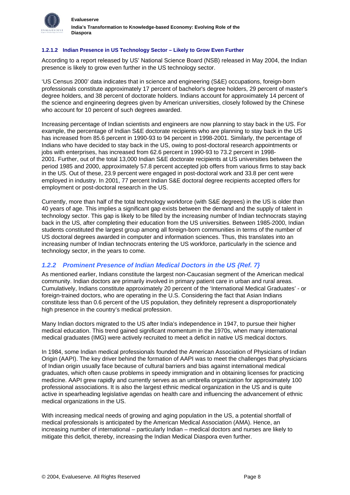

## **1.2.1.2 Indian Presence in US Technology Sector – Likely to Grow Even Further**

According to a report released by US' National Science Board (NSB) released in May 2004, the Indian presence is likely to grow even further in the US technology sector.

'US Census 2000' data indicates that in science and engineering (S&E) occupations, foreign-born professionals constitute approximately 17 percent of bachelor's degree holders, 29 percent of master's degree holders, and 38 percent of doctorate holders. Indians account for approximately 14 percent of the science and engineering degrees given by American universities, closely followed by the Chinese who account for 10 percent of such degrees awarded.

Increasing percentage of Indian scientists and engineers are now planning to stay back in the US. For example, the percentage of Indian S&E doctorate recipients who are planning to stay back in the US has increased from 85.6 percent in 1990-93 to 94 percent in 1998-2001. Similarly, the percentage of Indians who have decided to stay back in the US, owing to post-doctoral research appointments or jobs with enterprises, has increased from 62.6 percent in 1990-93 to 73.2 percent in 1998- 2001. Further, out of the total 13,000 Indian S&E doctorate recipients at US universities between the period 1985 and 2000, approximately 57.8 percent accepted job offers from various firms to stay back in the US. Out of these, 23.9 percent were engaged in post-doctoral work and 33.8 per cent were employed in industry. In 2001, 77 percent Indian S&E doctoral degree recipients accepted offers for employment or post-doctoral research in the US.

Currently, more than half of the total technology workforce (with S&E degrees) in the US is older than 40 years of age. This implies a significant gap exists between the demand and the supply of talent in technology sector. This gap is likely to be filled by the increasing number of Indian technocrats staying back in the US, after completing their education from the US universities. Between 1985-2000, Indian students constituted the largest group among all foreign-born communities in terms of the number of US doctoral degrees awarded in computer and information sciences. Thus, this translates into an increasing number of Indian technocrats entering the US workforce, particularly in the science and technology sector, in the years to come.

## *1.2.2 Prominent Presence of Indian Medical Doctors in the US {Ref. [7](#page-34-6)}*

As mentioned earlier, Indians constitute the largest non-Caucasian segment of the American medical community. Indian doctors are primarily involved in primary patient care in urban and rural areas. Cumulatively, Indians constitute approximately 20 percent of the 'International Medical Graduates' - or foreign-trained doctors, who are operating in the U.S. Considering the fact that Asian Indians constitute less than 0.6 percent of the US population, they definitely represent a disproportionately high presence in the country's medical profession.

Many Indian doctors migrated to the US after India's independence in 1947, to pursue their higher medical education. This trend gained significant momentum in the 1970s, when many international medical graduates (IMG) were actively recruited to meet a deficit in native US medical doctors.

In 1984, some Indian medical professionals founded the American Association of Physicians of Indian Origin (AAPI). The key driver behind the formation of AAPI was to meet the challenges that physicians of Indian origin usually face because of cultural barriers and bias against international medical graduates, which often cause problems in speedy immigration and in obtaining licenses for practicing medicine. AAPI grew rapidly and currently serves as an umbrella organization for approximately 100 professional associations. It is also the largest ethnic medical organization in the US and is quite active in spearheading legislative agendas on health care and influencing the advancement of ethnic medical organizations in the US.

With increasing medical needs of growing and aging population in the US, a potential shortfall of medical professionals is anticipated by the American Medical Association (AMA). Hence, an increasing number of international – particularly Indian – medical doctors and nurses are likely to mitigate this deficit, thereby, increasing the Indian Medical Diaspora even further.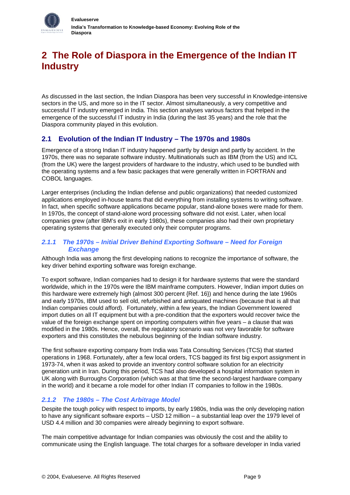<span id="page-10-0"></span>

# **2 The Role of Diaspora in the Emergence of the Indian IT Industry**

As discussed in the last section, the Indian Diaspora has been very successful in Knowledge-intensive sectors in the US, and more so in the IT sector. Almost simultaneously, a very competitive and successful IT industry emerged in India. This section analyses various factors that helped in the emergence of the successful IT industry in India (during the last 35 years) and the role that the Diaspora community played in this evolution.

# **2.1 Evolution of the Indian IT Industry – The 1970s and 1980s**

Emergence of a strong Indian IT industry happened partly by design and partly by accident. In the 1970s, there was no separate software industry. Multinationals such as IBM (from the US) and ICL (from the UK) were the largest providers of hardware to the industry, which used to be bundled with the operating systems and a few basic packages that were generally written in FORTRAN and COBOL languages.

Larger enterprises (including the Indian defense and public organizations) that needed customized applications employed in-house teams that did everything from installing systems to writing software. In fact, when specific software applications became popular, stand-alone boxes were made for them. In 1970s, the concept of stand-alone word processing software did not exist. Later, when local companies grew (after IBM's exit in early 1980s), these companies also had their own proprietary operating systems that generally executed only their computer programs.

## *2.1.1 The 1970s – Initial Driver Behind Exporting Software – Need for Foreign Exchange*

Although India was among the first developing nations to recognize the importance of software, the key driver behind exporting software was foreign exchange.

To export software, Indian companies had to design it for hardware systems that were the standard worldwide, which in the 1970s were the IBM mainframe computers. However, Indian import duties on this hardware were extremely high (almost 300 percent {Ref. [16}](#page-34-7)) and hence during the late 1960s and early 1970s, IBM used to sell old, refurbished and antiquated machines (because that is all that Indian companies could afford). Fortunately, within a few years, the Indian Government lowered import duties on all IT equipment but with a pre-condition that the exporters would recover twice the value of the foreign exchange spent on importing computers within five years – a clause that was modified in the 1980s. Hence, overall, the regulatory scenario was not very favorable for software exporters and this constitutes the nebulous beginning of the Indian software industry.

The first software exporting company from India was Tata Consulting Services (TCS) that started operations in 1968. Fortunately, after a few local orders, TCS bagged its first big export assignment in 1973-74, when it was asked to provide an inventory control software solution for an electricity generation unit in Iran. During this period, TCS had also developed a hospital information system in UK along with Burroughs Corporation (which was at that time the second-largest hardware company in the world) and it became a role model for other Indian IT companies to follow in the 1980s.

# *2.1.2 The 1980s – The Cost Arbitrage Model*

Despite the tough policy with respect to imports, by early 1980s, India was the only developing nation to have any significant software exports – USD 12 million – a substantial leap over the 1979 level of USD 4.4 million and 30 companies were already beginning to export software.

The main competitive advantage for Indian companies was obviously the cost and the ability to communicate using the English language. The total charges for a software developer in India varied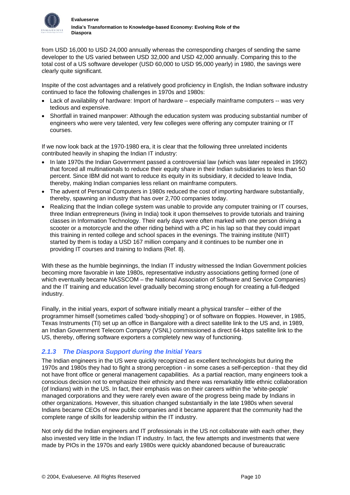

from USD 16,000 to USD 24,000 annually whereas the corresponding charges of sending the same developer to the US varied between USD 32,000 and USD 42,000 annually. Comparing this to the total cost of a US software developer (USD 60,000 to USD 95,000 yearly) in 1980, the savings were clearly quite significant.

Inspite of the cost advantages and a relatively good proficiency in English, the Indian software industry continued to face the following challenges in 1970s and 1980s:

- Lack of availability of hardware: Import of hardware especially mainframe computers -- was very tedious and expensive.
- Shortfall in trained manpower: Although the education system was producing substantial number of engineers who were very talented, very few colleges were offering any computer training or IT courses.

If we now look back at the 1970-1980 era, it is clear that the following three unrelated incidents contributed heavily in shaping the Indian IT industry:

- In late 1970s the Indian Government passed a controversial law (which was later repealed in 1992) that forced all multinationals to reduce their equity share in their Indian subsidiaries to less than 50 percent. Since IBM did not want to reduce its equity in its subsidiary, it decided to leave India, thereby, making Indian companies less reliant on mainframe computers.
- The advent of Personal Computers in 1980s reduced the cost of importing hardware substantially, thereby, spawning an industry that has over 2,700 companies today.
- Realizing that the Indian college system was unable to provide any computer training or IT courses, three Indian entrepreneurs (living in India) took it upon themselves to provide tutorials and training classes in Information Technology. Their early days were often marked with one person driving a scooter or a motorcycle and the other riding behind with a PC in his lap so that they could impart this training in rented college and school spaces in the evenings. The training institute (NIIT) started by them is today a USD 167 million company and it continues to be number one in providing IT courses and training to Indians {Ref. [8](#page-34-8)}.

With these as the humble beginnings, the Indian IT industry witnessed the Indian Government policies becoming more favorable in late 1980s, representative industry associations getting formed (one of which eventually became NASSCOM – the National Association of Software and Service Companies) and the IT training and education level gradually becoming strong enough for creating a full-fledged industry.

Finally, in the initial years, export of software initially meant a physical transfer – either of the programmer himself (sometimes called 'body-shopping') or of software on floppies. However, in 1985, Texas Instruments (TI) set up an office in Bangalore with a direct satellite link to the US and, in 1989, an Indian Government Telecom Company (VSNL) commissioned a direct 64-kbps satellite link to the US, thereby, offering software exporters a completely new way of functioning.

# *2.1.3 The Diaspora Support during the Initial Years*

The Indian engineers in the US were quickly recognized as excellent technologists but during the 1970s and 1980s they had to fight a strong perception - in some cases a self-perception - that they did not have front office or general management capabilities. As a partial reaction, many engineers took a conscious decision not to emphasize their ethnicity and there was remarkably little ethnic collaboration (of Indians) with in the US. In fact, their emphasis was on their careers within the 'white-people' managed corporations and they were rarely even aware of the progress being made by Indians in other organizations. However, this situation changed substantially in the late 1980s when several Indians became CEOs of new public companies and it became apparent that the community had the complete range of skills for leadership within the IT industry.

Not only did the Indian engineers and IT professionals in the US not collaborate with each other, they also invested very little in the Indian IT industry. In fact, the few attempts and investments that were made by PIOs in the 1970s and early 1980s were quickly abandoned because of bureaucratic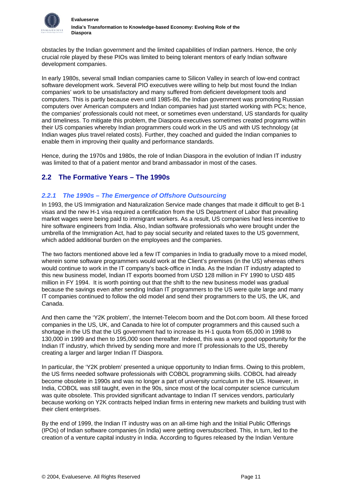<span id="page-12-0"></span>

obstacles by the Indian government and the limited capabilities of Indian partners. Hence, the only crucial role played by these PIOs was limited to being tolerant mentors of early Indian software development companies.

In early 1980s, several small Indian companies came to Silicon Valley in search of low-end contract software development work. Several PIO executives were willing to help but most found the Indian companies' work to be unsatisfactory and many suffered from deficient development tools and computers. This is partly because even until 1985-86, the Indian government was promoting Russian computers over American computers and Indian companies had just started working with PCs; hence, the companies' professionals could not meet, or sometimes even understand, US standards for quality and timeliness. To mitigate this problem, the Diaspora executives sometimes created programs within their US companies whereby Indian programmers could work in the US and with US technology (at Indian wages plus travel related costs). Further, they coached and guided the Indian companies to enable them in improving their quality and performance standards.

Hence, during the 1970s and 1980s, the role of Indian Diaspora in the evolution of Indian IT industry was limited to that of a patient mentor and brand ambassador in most of the cases.

# **2.2 The Formative Years – The 1990s**

## *2.2.1 The 1990s – The Emergence of Offshore Outsourcing*

In 1993, the US Immigration and Naturalization Service made changes that made it difficult to get B-1 visas and the new H-1 visa required a certification from the US Department of Labor that prevailing market wages were being paid to immigrant workers. As a result, US companies had less incentive to hire software engineers from India. Also, Indian software professionals who were brought under the umbrella of the Immigration Act, had to pay social security and related taxes to the US government, which added additional burden on the employees and the companies.

The two factors mentioned above led a few IT companies in India to gradually move to a mixed model, wherein some software programmers would work at the Client's premises (in the US) whereas others would continue to work in the IT company's back-office in India. As the Indian IT industry adapted to this new business model, Indian IT exports boomed from USD 128 million in FY 1990 to USD 485 million in FY 1994. It is worth pointing out that the shift to the new business model was gradual because the savings even after sending Indian IT programmers to the US were quite large and many IT companies continued to follow the old model and send their programmers to the US, the UK, and Canada.

And then came the 'Y2K problem', the Internet-Telecom boom and the Dot.com boom. All these forced companies in the US, UK, and Canada to hire lot of computer programmers and this caused such a shortage in the US that the US government had to increase its H-1 quota from 65,000 in 1998 to 130,000 in 1999 and then to 195,000 soon thereafter. Indeed, this was a very good opportunity for the Indian IT industry, which thrived by sending more and more IT professionals to the US, thereby creating a larger and larger Indian IT Diaspora.

In particular, the 'Y2K problem' presented a unique opportunity to Indian firms. Owing to this problem, the US firms needed software professionals with COBOL programming skills. COBOL had already become obsolete in 1990s and was no longer a part of university curriculum in the US. However, in India, COBOL was still taught, even in the 90s, since most of the local computer science curriculum was quite obsolete. This provided significant advantage to Indian IT services vendors, particularly because working on Y2K contracts helped Indian firms in entering new markets and building trust with their client enterprises.

By the end of 1999, the Indian IT industry was on an all-time high and the Initial Public Offerings (IPOs) of Indian software companies (in India) were getting oversubscribed. This, in turn, led to the creation of a venture capital industry in India. According to figures released by the Indian Venture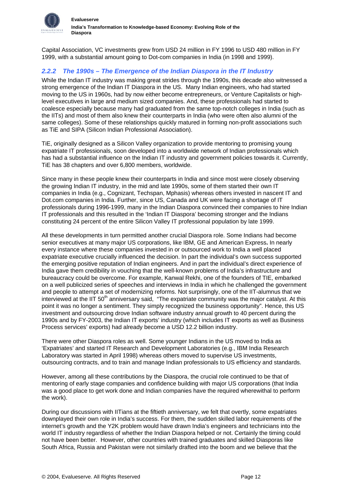Capital Association, VC investments grew from USD 24 million in FY 1996 to USD 480 million in FY 1999, with a substantial amount going to Dot-com companies in India (in 1998 and 1999).

## *2.2.2 The 1990s – The Emergence of the Indian Diaspora in the IT Industry*

While the Indian IT industry was making great strides through the 1990s, this decade also witnessed a strong emergence of the Indian IT Diaspora in the US. Many Indian engineers, who had started moving to the US in 1960s, had by now either become entrepreneurs, or Venture Capitalists or highlevel executives in large and medium sized companies. And, these professionals had started to coalesce especially because many had graduated from the same top-notch colleges in India (such as the IITs) and most of them also knew their counterparts in India (who were often also alumni of the same colleges). Some of these relationships quickly matured in forming non-profit associations such as TiE and SIPA (Silicon Indian Professional Association).

TiE, originally designed as a Silicon Valley organization to provide mentoring to promising young expatriate IT professionals, soon developed into a worldwide network of Indian professionals which has had a substantial influence on the Indian IT industry and government policies towards it. Currently, TiE has 38 chapters and over 6,800 members, worldwide.

Since many in these people knew their counterparts in India and since most were closely observing the growing Indian IT industry, in the mid and late 1990s, some of them started their own IT companies in India (e.g., Cognizant, Techspan, Mphasis) whereas others invested in nascent IT and Dot.com companies in India. Further, since US, Canada and UK were facing a shortage of IT professionals during 1996-1999, many in the Indian Diaspora convinced their companies to hire Indian IT professionals and this resulted in the 'Indian IT Diaspora' becoming stronger and the Indians constituting 24 percent of the entire Silicon Valley IT professional population by late 1999.

All these developments in turn permitted another crucial Diaspora role. Some Indians had become senior executives at many major US corporations, like IBM, GE and American Express**.** In nearly every instance where these companies invested in or outsourced work to India a well placed expatriate executive crucially influenced the decision. In part the individual's own success supported the emerging positive reputation of Indian engineers. And in part the individual's direct experience of India gave them credibility in vouching that the well-known problems of India's infrastructure and bureaucracy could be overcome. For example, Kanwal Rekhi, one of the founders of TIE, embarked on a well publicized series of speeches and interviews in India in which he challenged the government and people to attempt a set of modernizing reforms. Not surprisingly, one of the IIT-alumnus that we interviewed at the IIT  $50<sup>th</sup>$  anniversary said, "The expatriate community was the major catalyst. At this point it was no longer a sentiment. They simply recognized the business opportunity". Hence, this US investment and outsourcing drove Indian software industry annual growth to 40 percent during the 1990s and by FY-2003, the Indian IT exports' industry (which includes IT exports as well as Business Process services' exports) had already become a USD 12.2 billion industry.

There were other Diaspora roles as well. Some younger Indians in the US moved to India as 'Expatriates' and started IT Research and Development Laboratories (e.g., IBM India Research Laboratory was started in April 1998) whereas others moved to supervise US investments, outsourcing contracts, and to train and manage Indian professionals to US efficiency and standards.

However, among all these contributions by the Diaspora, the crucial role continued to be that of mentoring of early stage companies and confidence building with major US corporations (that India was a good place to get work done and Indian companies have the required wherewithal to perform the work).

During our discussions with IITians at the fiftieth anniversary, we felt that overtly, some expatriates downplayed their own role in India's success. For them, the sudden skilled labor requirements of the internet's growth and the Y2K problem would have drawn India's engineers and technicians into the world IT industry regardless of whether the Indian Diaspora helped or not. Certainly the timing could not have been better. However, other countries with trained graduates and skilled Diasporas like South Africa, Russia and Pakistan were not similarly drafted into the boom and we believe that the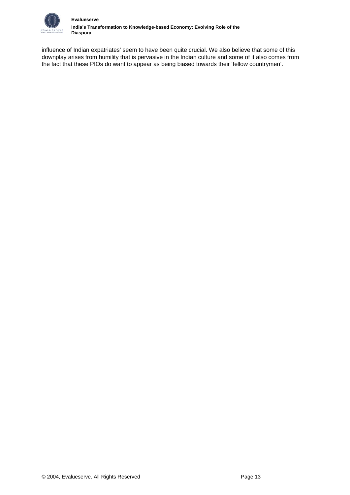

influence of Indian expatriates' seem to have been quite crucial. We also believe that some of this downplay arises from humility that is pervasive in the Indian culture and some of it also comes from the fact that these PIOs do want to appear as being biased towards their 'fellow countrymen'.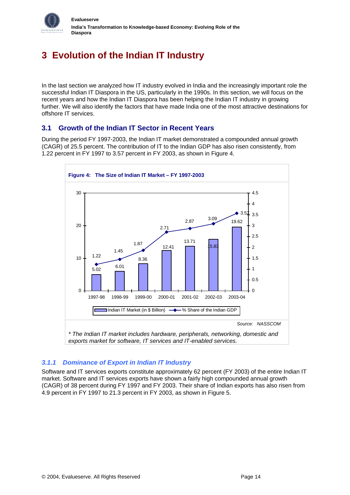<span id="page-15-0"></span>

# **3 Evolution of the Indian IT Industry**

In the last section we analyzed how IT industry evolved in India and the increasingly important role the successful Indian IT Diaspora in the US, particularly in the 1990s. In this section, we will focus on the recent years and how the Indian IT Diaspora has been helping the Indian IT industry in growing further. We will also identify the factors that have made India one of the most attractive destinations for offshore IT services.

# **3.1 Growth of the Indian IT Sector in Recent Years**

During the period FY 1997-2003, the Indian IT market demonstrated a compounded annual growth (CAGR) of 25.5 percent. The contribution of IT to the Indian GDP has also risen consistently, from 1.22 percent in FY 1997 to 3.57 percent in FY 2003, as shown in Figure 4.



# *3.1.1 Dominance of Export in Indian IT Industry*

Software and IT services exports constitute approximately 62 percent (FY 2003) of the entire Indian IT market. Software and IT services exports have shown a fairly high compounded annual growth (CAGR) of 38 percent during FY 1997 and FY 2003. Their share of Indian exports has also risen from 4.9 percent in FY 1997 to 21.3 percent in FY 2003, as shown in Figure 5.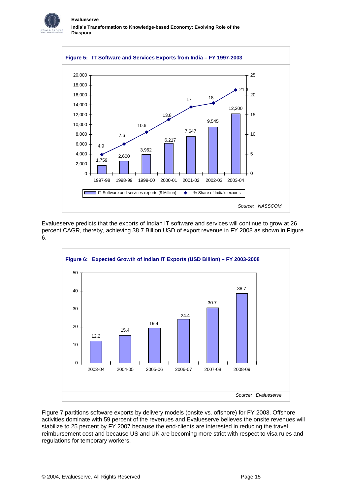



Evalueserve predicts that the exports of Indian IT software and services will continue to grow at 26 percent CAGR, thereby, achieving 38.7 Billion USD of export revenue in FY 2008 as shown in Figure 6.



Figure 7 partitions software exports by delivery models (onsite vs. offshore) for FY 2003. Offshore activities dominate with 59 percent of the revenues and Evalueserve believes the onsite revenues will stabilize to 25 percent by FY 2007 because the end-clients are interested in reducing the travel reimbursement cost and because US and UK are becoming more strict with respect to visa rules and regulations for temporary workers.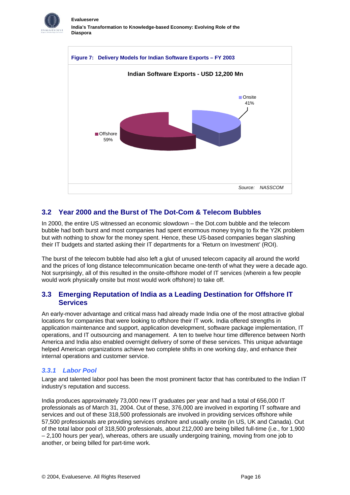<span id="page-17-0"></span>



# **3.2 Year 2000 and the Burst of The Dot-Com & Telecom Bubbles**

In 2000, the entire US witnessed an economic slowdown – the Dot.com bubble and the telecom bubble had both burst and most companies had spent enormous money trying to fix the Y2K problem but with nothing to show for the money spent. Hence, these US-based companies began slashing their IT budgets and started asking their IT departments for a 'Return on Investment' (ROI).

The burst of the telecom bubble had also left a glut of unused telecom capacity all around the world and the prices of long distance telecommunication became one-tenth of what they were a decade ago. Not surprisingly, all of this resulted in the onsite-offshore model of IT services (wherein a few people would work physically onsite but most would work offshore) to take off.

## **3.3 Emerging Reputation of India as a Leading Destination for Offshore IT Services**

An early-mover advantage and critical mass had already made India one of the most attractive global locations for companies that were looking to offshore their IT work. India offered strengths in application maintenance and support, application development, software package implementation, IT operations, and IT outsourcing and management. A ten to twelve hour time difference between North America and India also enabled overnight delivery of some of these services. This unique advantage helped American organizations achieve two complete shifts in one working day, and enhance their internal operations and customer service.

## *3.3.1 Labor Pool*

Large and talented labor pool has been the most prominent factor that has contributed to the Indian IT industry's reputation and success.

India produces approximately 73,000 new IT graduates per year and had a total of 656,000 IT professionals as of March 31, 2004. Out of these, 376,000 are involved in exporting IT software and services and out of these 318,500 professionals are involved in providing services offshore while 57,500 professionals are providing services onshore and usually onsite (in US, UK and Canada). Out of the total labor pool of 318,500 professionals, about 212,000 are being billed full-time (i.e., for 1,900 – 2,100 hours per year), whereas, others are usually undergoing training, moving from one job to another, or being billed for part-time work.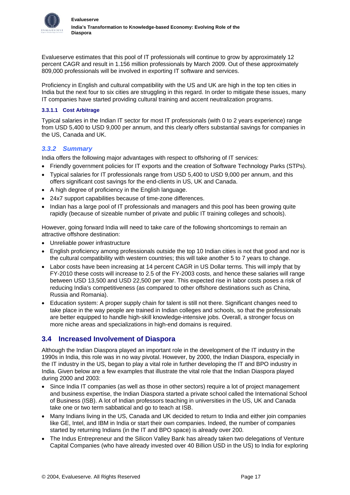<span id="page-18-0"></span>

Evalueserve estimates that this pool of IT professionals will continue to grow by approximately 12 percent CAGR and result in 1.156 million professionals by March 2009. Out of these approximately 809,000 professionals will be involved in exporting IT software and services.

Proficiency in English and cultural compatibility with the US and UK are high in the top ten cities in India but the next four to six cities are struggling in this regard. In order to mitigate these issues, many IT companies have started providing cultural training and accent neutralization programs.

### **3.3.1.1 Cost Arbitrage**

Typical salaries in the Indian IT sector for most IT professionals (with 0 to 2 years experience) range from USD 5,400 to USD 9,000 per annum, and this clearly offers substantial savings for companies in the US, Canada and UK.

## *3.3.2 Summary*

India offers the following major advantages with respect to offshoring of IT services:

- Friendly government policies for IT exports and the creation of Software Technology Parks (STPs).
- Typical salaries for IT professionals range from USD 5,400 to USD 9,000 per annum, and this offers significant cost savings for the end-clients in US, UK and Canada.
- A high degree of proficiency in the English language.
- 24x7 support capabilities because of time-zone differences.
- Indian has a large pool of IT professionals and managers and this pool has been growing quite rapidly (because of sizeable number of private and public IT training colleges and schools).

However, going forward India will need to take care of the following shortcomings to remain an attractive offshore destination:

- Unreliable power infrastructure
- English proficiency among professionals outside the top 10 Indian cities is not that good and nor is the cultural compatibility with western countries; this will take another 5 to 7 years to change.
- Labor costs have been increasing at 14 percent CAGR in US Dollar terms. This will imply that by FY-2010 these costs will increase to 2.5 of the FY-2003 costs, and hence these salaries will range between USD 13,500 and USD 22,500 per year. This expected rise in labor costs poses a risk of reducing India's competitiveness (as compared to other offshore destinations such as China, Russia and Romania).
- Education system: A proper supply chain for talent is still not there. Significant changes need to take place in the way people are trained in Indian colleges and schools, so that the professionals are better equipped to handle high-skill knowledge-intensive jobs. Overall, a stronger focus on more niche areas and specializations in high-end domains is required.

## **3.4 Increased Involvement of Diaspora**

Although the Indian Diaspora played an important role in the development of the IT industry in the 1990s in India, this role was in no way pivotal. However, by 2000, the Indian Diaspora, especially in the IT industry in the US, began to play a vital role in further developing the IT and BPO industry in India. Given below are a few examples that illustrate the vital role that the Indian Diaspora played during 2000 and 2003:

- Since India IT companies (as well as those in other sectors) require a lot of project management and business expertise, the Indian Diaspora started a private school called the International School of Business (ISB). A lot of Indian professors teaching in universities in the US, UK and Canada take one or two term sabbatical and go to teach at ISB.
- Many Indians living in the US, Canada and UK decided to return to India and either join companies like GE, Intel, and IBM in India or start their own companies. Indeed, the number of companies started by returning Indians (in the IT and BPO space) is already over 200.
- The Indus Entrepreneur and the Silicon Valley Bank has already taken two delegations of Venture Capital Companies (who have already invested over 40 Billion USD in the US) to India for exploring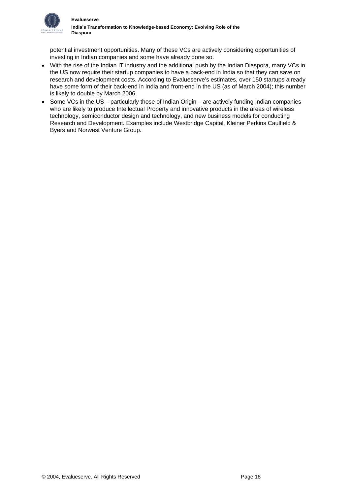

potential investment opportunities. Many of these VCs are actively considering opportunities of investing in Indian companies and some have already done so.

- With the rise of the Indian IT industry and the additional push by the Indian Diaspora, many VCs in the US now require their startup companies to have a back-end in India so that they can save on research and development costs. According to Evalueserve's estimates, over 150 startups already have some form of their back-end in India and front-end in the US (as of March 2004); this number is likely to double by March 2006.
- Some VCs in the US particularly those of Indian Origin are actively funding Indian companies who are likely to produce Intellectual Property and innovative products in the areas of wireless technology, semiconductor design and technology, and new business models for conducting Research and Development. Examples include Westbridge Capital, Kleiner Perkins Caulfield & Byers and Norwest Venture Group.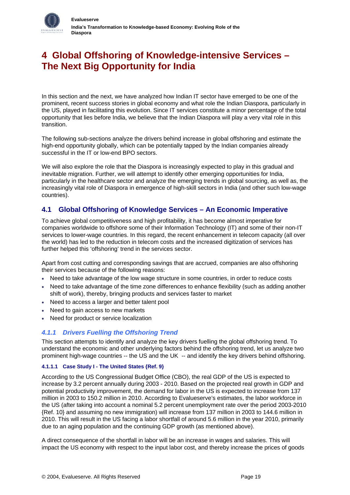<span id="page-20-0"></span>

In this section and the next, we have analyzed how Indian IT sector have emerged to be one of the prominent, recent success stories in global economy and what role the Indian Diaspora, particularly in the US, played in facilitating this evolution. Since IT services constitute a minor percentage of the total opportunity that lies before India, we believe that the Indian Diaspora will play a very vital role in this transition.

The following sub-sections analyze the drivers behind increase in global offshoring and estimate the high-end opportunity globally, which can be potentially tapped by the Indian companies already successful in the IT or low-end BPO sectors.

We will also explore the role that the Diaspora is increasingly expected to play in this gradual and inevitable migration. Further, we will attempt to identify other emerging opportunities for India, particularly in the healthcare sector and analyze the emerging trends in global sourcing, as well as, the increasingly vital role of Diaspora in emergence of high-skill sectors in India (and other such low-wage countries).

# **4.1 Global Offshoring of Knowledge Services – An Economic Imperative**

To achieve global competitiveness and high profitability, it has become almost imperative for companies worldwide to offshore some of their Information Technology (IT) and some of their non-IT services to lower-wage countries. In this regard, the recent enhancement in telecom capacity (all over the world) has led to the reduction in telecom costs and the increased digitization of services has further helped this 'offshoring' trend in the services sector.

Apart from cost cutting and corresponding savings that are accrued, companies are also offshoring their services because of the following reasons:

- Need to take advantage of the low wage structure in some countries, in order to reduce costs
- Need to take advantage of the time zone differences to enhance flexibility (such as adding another shift of work), thereby, bringing products and services faster to market
- Need to access a larger and better talent pool
- Need to gain access to new markets
- Need for product or service localization

## *4.1.1 Drivers Fuelling the Offshoring Trend*

This section attempts to identify and analyze the key drivers fuelling the global offshoring trend. To understand the economic and other underlying factors behind the offshoring trend, let us analyze two prominent high-wage countries -- the US and the UK -- and identify the key drivers behind offshoring.

#### **4.1.1.1 Case Study I - The United States {Ref. [9](#page-34-9)}**

According to the US Congressional Budget Office (CBO), the real GDP of the US is expected to increase by 3.2 percent annually during 2003 - 2010. Based on the projected real growth in GDP and potential productivity improvement, the demand for labor in the US is expected to increase from 137 million in 2003 to 150.2 million in 2010. According to Evalueserve's estimates, the labor workforce in the US (after taking into account a nominal 5.2 percent unemployment rate over the period 2003-2010 {Ref. [10}](#page-34-10) and assuming no new immigration) will increase from 137 million in 2003 to 144.6 million in 2010. This will result in the US facing a labor shortfall of around 5.6 million in the year 2010, primarily due to an aging population and the continuing GDP growth (as mentioned above).

A direct consequence of the shortfall in labor will be an increase in wages and salaries. This will impact the US economy with respect to the input labor cost, and thereby increase the prices of goods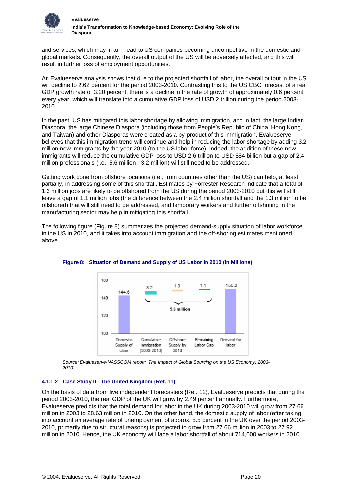

and services, which may in turn lead to US companies becoming uncompetitive in the domestic and global markets. Consequently, the overall output of the US will be adversely affected, and this will result in further loss of employment opportunities.

An Evalueserve analysis shows that due to the projected shortfall of labor, the overall output in the US will decline to 2.62 percent for the period 2003-2010. Contrasting this to the US CBO forecast of a real GDP growth rate of 3.20 percent, there is a decline in the rate of growth of approximately 0.6 percent every year, which will translate into a cumulative GDP loss of USD 2 trillion during the period 2003- 2010.

In the past, US has mitigated this labor shortage by allowing immigration, and in fact, the large Indian Diaspora, the large Chinese Diaspora (including those from People's Republic of China, Hong Kong, and Taiwan) and other Diasporas were created as a by-product of this immigration. Evalueserve believes that this immigration trend will continue and help in reducing the labor shortage by adding 3.2 million new immigrants by the year 2010 (to the US labor force). Indeed, the addition of these new immigrants will reduce the cumulative GDP loss to USD 2.6 trillion to USD 884 billion but a gap of 2.4 million professionals (i.e., 5.6 million - 3.2 million) will still need to be addressed.

Getting work done from offshore locations (i.e., from countries other than the US) can help, at least partially, in addressing some of this shortfall. Estimates by Forrester Research indicate that a total of 1.3 million jobs are likely to be offshored from the US during the period 2003-2010 but this will still leave a gap of 1.1 million jobs (the difference between the 2.4 million shortfall and the 1.3 million to be offshored) that will still need to be addressed, and temporary workers and further offshoring in the manufacturing sector may help in mitigating this shortfall.



The following figure (Figure 8) summarizes the projected demand-supply situation of labor workforce in the US in 2010, and it takes into account immigration and the off-shoring estimates mentioned above.

## **4.1.1.2 Case Study II - The United Kingdom {Ref. [11}](#page-34-11)**

On the basis of data from five independent forecasters {Ref. [12}](#page-34-12), Evalueserve predicts that during the period 2003-2010, the real GDP of the UK will grow by 2.49 percent annually. Furthermore, Evalueserve predicts that the total demand for labor in the UK during 2003-2010 will grow from 27.66 million in 2003 to 28.63 million in 2010. On the other hand, the domestic supply of labor (after taking into account an average rate of unemployment of approx. 5.5 percent in the UK over the period 2003- 2010, primarily due to structural reasons) is projected to grow from 27.66 million in 2003 to 27.92 million in 2010. Hence, the UK economy will face a labor shortfall of about 714,000 workers in 2010.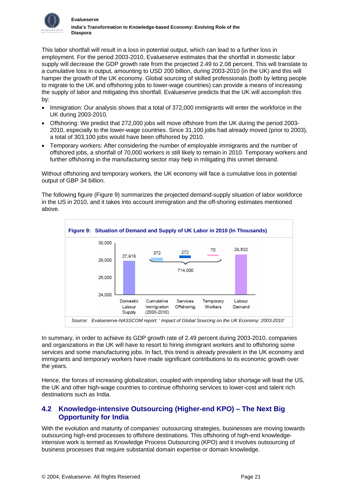<span id="page-22-0"></span>

This labor shortfall will result in a loss in potential output, which can lead to a further loss in employment. For the period 2003-2010, Evalueserve estimates that the shortfall in domestic labor supply will decrease the GDP growth rate from the projected 2.49 to 2.08 percent. This will translate to a cumulative loss in output, amounting to USD 200 billion, during 2003-2010 (in the UK) and this will hamper the growth of the UK economy. Global sourcing of skilled professionals (both by letting people to migrate to the UK and offshoring jobs to lower-wage countries) can provide a means of increasing the supply of labor and mitigating this shortfall. Evalueserve predicts that the UK will accomplish this by:

- Immigration: Our analysis shows that a total of 372,000 immigrants will enter the workforce in the UK during 2003-2010.
- Offshoring: We predict that 272,000 jobs will move offshore from the UK during the period 2003- 2010, especially to the lower-wage countries. Since 31,100 jobs had already moved (prior to 2003), a total of 303,100 jobs would have been offshored by 2010.
- Temporary workers: After considering the number of employable immigrants and the number of offshored jobs, a shortfall of 70,000 workers is still likely to remain in 2010. Temporary workers and further offshoring in the manufacturing sector may help in mitigating this unmet demand.

Without offshoring and temporary workers, the UK economy will face a cumulative loss in potential output of GBP 34 billion.

The following figure (Figure 9) summarizes the projected demand-supply situation of labor workforce in the US in 2010, and it takes into account immigration and the off-shoring estimates mentioned above.



In summary, in order to achieve its GDP growth rate of 2.49 percent during 2003-2010, companies and organizations in the UK will have to resort to hiring immigrant workers and to offshoring some services and some manufacturing jobs. In fact, this trend is already prevalent in the UK economy and immigrants and temporary workers have made significant contributions to its economic growth over the years.

Hence, the forces of increasing globalization, coupled with impending labor shortage will lead the US, the UK and other high-wage countries to continue offshoring services to lower-cost and talent rich destinations such as India.

# **4.2 Knowledge-intensive Outsourcing (Higher-end KPO) – The Next Big Opportunity for India**

With the evolution and maturity of companies' outsourcing strategies, businesses are moving towards outsourcing high-end processes to offshore destinations. This offshoring of high-end knowledgeintensive work is termed as Knowledge Process Outsourcing (KPO) and it involves outsourcing of business processes that require substantial domain expertise or domain knowledge.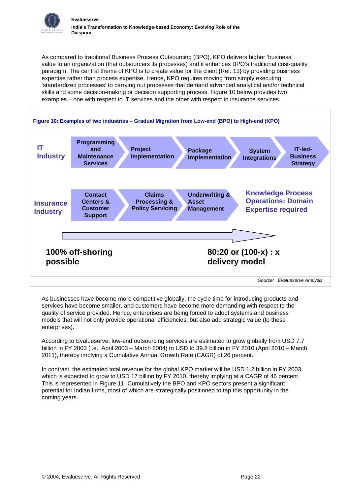

As compared to traditional Business Process Outsourcing (BPO), KPO delivers higher 'business' value to an organization (that outsourcers its processes) and it enhances BPO's traditional cost-quality paradigm. The central theme of KPO is to create value for the client {Ref. [13}](#page-34-13) by providing business expertise rather than process expertise. Hence, KPO requires moving from simply executing 'standardized processes' to carrying out processes that demand advanced analytical and/or technical skills and some decision-making or decision supporting process. Figure 10 below provides two examples – one with respect to IT services and the other with respect to insurance services.



As businesses have become more competitive globally, the cycle time for introducing products and services have become smaller, and customers have become more demanding with respect to the quality of service provided. Hence, enterprises are being forced to adopt systems and business models that will not only provide operational efficiencies, but also add strategic value (to these enterprises).

According to Evalueserve, low-end outsourcing services are estimated to grow globally from USD 7.7 billion in FY 2003 (i.e., April 2003 – March 2004) to USD to 39.8 billion in FY 2010 (April 2010 – March 2011), thereby implying a Cumulative Annual Growth Rate (CAGR) of 26 percent.

In contrast, the estimated total revenue for the global KPO market will be USD 1.2 billion in FY 2003, which is expected to grow to USD 17 billion by FY 2010, thereby implying at a CAGR of 46 percent. This is represented in Figure 11. Cumulatively the BPO and KPO sectors present a significant potential for Indian firms, most of which are strategically positioned to tap this opportunity in the coming years.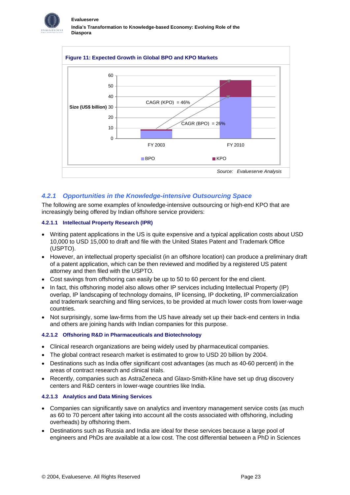



## *4.2.1 Opportunities in the Knowledge-intensive Outsourcing Space*

The following are some examples of knowledge-intensive outsourcing or high-end KPO that are increasingly being offered by Indian offshore service providers:

#### **4.2.1.1 Intellectual Property Research (IPR)**

- Writing patent applications in the US is quite expensive and a typical application costs about USD 10,000 to USD 15,000 to draft and file with the United States Patent and Trademark Office (USPTO).
- However, an intellectual property specialist (in an offshore location) can produce a preliminary draft of a patent application, which can be then reviewed and modified by a registered US patent attorney and then filed with the USPTO.
- Cost savings from offshoring can easily be up to 50 to 60 percent for the end client.
- In fact, this offshoring model also allows other IP services including Intellectual Property (IP) overlap, IP landscaping of technology domains, IP licensing, IP docketing, IP commercialization and trademark searching and filing services, to be provided at much lower costs from lower-wage countries.
- Not surprisingly, some law-firms from the US have already set up their back-end centers in India and others are joining hands with Indian companies for this purpose.

#### **4.2.1.2 Offshoring R&D in Pharmaceuticals and Biotechnology**

- Clinical research organizations are being widely used by pharmaceutical companies.
- The global contract research market is estimated to grow to USD 20 billion by 2004.
- Destinations such as India offer significant cost advantages (as much as 40-60 percent) in the areas of contract research and clinical trials.
- Recently, companies such as AstraZeneca and Glaxo-Smith-Kline have set up drug discovery centers and R&D centers in lower-wage countries like India.

#### **4.2.1.3 Analytics and Data Mining Services**

- Companies can significantly save on analytics and inventory management service costs (as much as 60 to 70 percent after taking into account all the costs associated with offshoring, including overheads) by offshoring them.
- Destinations such as Russia and India are ideal for these services because a large pool of engineers and PhDs are available at a low cost. The cost differential between a PhD in Sciences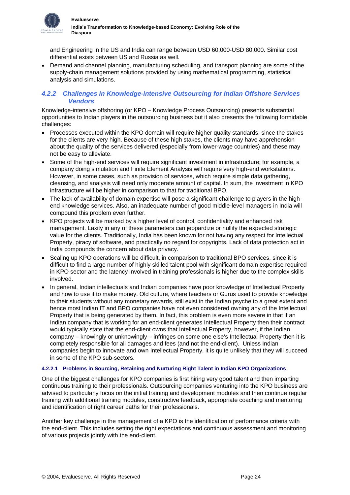

and Engineering in the US and India can range between USD 60,000-USD 80,000. Similar cost differential exists between US and Russia as well.

• Demand and channel planning, manufacturing scheduling, and transport planning are some of the supply-chain management solutions provided by using mathematical programming, statistical analysis and simulations.

## *4.2.2 Challenges in Knowledge-intensive Outsourcing for Indian Offshore Services Vendors*

Knowledge-intensive offshoring (or KPO – Knowledge Process Outsourcing) presents substantial opportunities to Indian players in the outsourcing business but it also presents the following formidable challenges:

- Processes executed within the KPO domain will require higher quality standards, since the stakes for the clients are very high. Because of these high stakes, the clients may have apprehension about the quality of the services delivered (especially from lower-wage countries) and these may not be easy to alleviate.
- Some of the high-end services will require significant investment in infrastructure; for example, a company doing simulation and Finite Element Analysis will require very high-end workstations. However, in some cases, such as provision of services, which require simple data gathering, cleansing, and analysis will need only moderate amount of capital. In sum, the investment in KPO infrastructure will be higher in comparison to that for traditional BPO.
- The lack of availability of domain expertise will pose a significant challenge to players in the highend knowledge services. Also, an inadequate number of good middle-level managers in India will compound this problem even further.
- KPO projects will be marked by a higher level of control, confidentiality and enhanced risk management. Laxity in any of these parameters can jeopardize or nullify the expected strategic value for the clients. Traditionally, India has been known for not having any respect for Intellectual Property, piracy of software, and practically no regard for copyrights. Lack of data protection act in India compounds the concern about data privacy.
- Scaling up KPO operations will be difficult, in comparison to traditional BPO services, since it is difficult to find a large number of highly skilled talent pool with significant domain expertise required in KPO sector and the latency involved in training professionals is higher due to the complex skills involved.
- In general, Indian intellectuals and Indian companies have poor knowledge of Intellectual Property and how to use it to make money. Old culture, where teachers or Gurus used to provide knowledge to their students without any monetary rewards, still exist in the Indian psyche to a great extent and hence most Indian IT and BPO companies have not even considered owning any of the Intellectual Property that is being generated by them. In fact, this problem is even more severe in that if an Indian company that is working for an end-client generates Intellectual Property then their contract would typically state that the end-client owns that Intellectual Property, however, if the Indian company – knowingly or unknowingly – infringes on some one else's Intellectual Property then it is completely responsible for all damages and fees (and not the end-client). Unless Indian companies begin to innovate and own Intellectual Property, it is quite unlikely that they will succeed in some of the KPO sub-sectors.

#### **4.2.2.1 Problems in Sourcing, Retaining and Nurturing Right Talent in Indian KPO Organizations**

One of the biggest challenges for KPO companies is first hiring very good talent and then imparting continuous training to their professionals. Outsourcing companies venturing into the KPO business are advised to particularly focus on the initial training and development modules and then continue regular training with additional training modules, constructive feedback, appropriate coaching and mentoring and identification of right career paths for their professionals.

Another key challenge in the management of a KPO is the identification of performance criteria with the end-client. This includes setting the right expectations and continuous assessment and monitoring of various projects jointly with the end-client.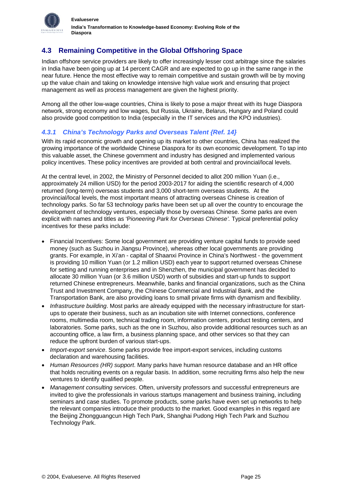<span id="page-26-0"></span>

# **4.3 Remaining Competitive in the Global Offshoring Space**

Indian offshore service providers are likely to offer increasingly lesser cost arbitrage since the salaries in India have been going up at 14 percent CAGR and are expected to go up in the same range in the near future. Hence the most effective way to remain competitive and sustain growth will be by moving up the value chain and taking on knowledge intensive high value work and ensuring that project management as well as process management are given the highest priority.

Among all the other low-wage countries, China is likely to pose a major threat with its huge Diaspora network, strong economy and low wages, but Russia, Ukraine, Belarus, Hungary and Poland could also provide good competition to India (especially in the IT services and the KPO industries).

## *4.3.1 China's Technology Parks and Overseas Talent {Ref. [14}](#page-34-14)*

With its rapid economic growth and opening up its market to other countries. China has realized the growing importance of the worldwide Chinese Diaspora for its own economic development. To tap into this valuable asset, the Chinese government and industry has designed and implemented various policy incentives. These policy incentives are provided at both central and provincial/local levels.

At the central level, in 2002, the Ministry of Personnel decided to allot 200 million Yuan (i.e., approximately 24 million USD) for the period 2003-2017 for aiding the scientific research of 4,000 returned (long-term) overseas students and 3,000 short-term overseas students. At the provincial/local levels, the most important means of attracting overseas Chinese is creation of technology parks. So far 53 technology parks have been set up all over the country to encourage the development of technology ventures, especially those by overseas Chinese. Some parks are even explicit with names and titles as 'P*ioneering Park for Overseas Chinese'.* Typical preferential policy incentives for these parks include:

- Financial Incentives: Some local government are providing venture capital funds to provide seed money (such as Suzhou in Jiangsu Province), whereas other local governments are providing grants. For example, in Xi'an - capital of Shaanxi Province in China's Northwest - the government is providing 10 million Yuan (or 1.2 million USD) each year to support returned overseas Chinese for setting and running enterprises and in Shenzhen, the municipal government has decided to allocate 30 million Yuan (or 3.6 million USD) worth of subsidies and start-up funds to support returned Chinese entrepreneurs. Meanwhile, banks and financial organizations, such as the China Trust and Investment Company, the Chinese Commercial and Industrial Bank, and the Transportation Bank, are also providing loans to small private firms with dynamism and flexibility.
- *Infrastructure building*. Most parks are already equipped with the necessary infrastructure for startups to operate their business, such as an incubation site with Internet connections, conference rooms, multimedia room, technical trading room, information centers, product testing centers, and laboratories. Some parks, such as the one in Suzhou, also provide additional resources such as an accounting office, a law firm, a business planning space, and other services so that they can reduce the upfront burden of various start-ups.
- *Import-export service*. Some parks provide free import-export services, including customs declaration and warehousing facilities.
- *Human Resources (HR) support*. Many parks have human resource database and an HR office that holds recruiting events on a regular basis. In addition, some recruiting firms also help the new ventures to identify qualified people.
- *Management consulting services*. Often, university professors and successful entrepreneurs are invited to give the professionals in various startups management and business training, including seminars and case studies. To promote products, some parks have even set up networks to help the relevant companies introduce their products to the market. Good examples in this regard are the Beijing Zhongguangcun High Tech Park, Shanghai Pudong High Tech Park and Suzhou Technology Park.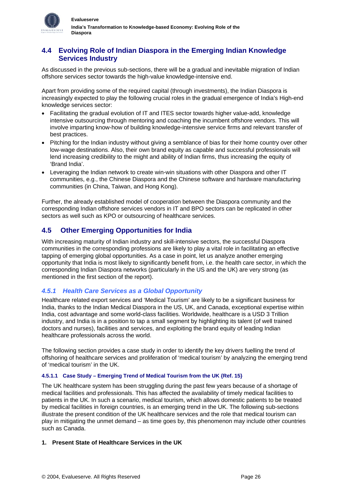<span id="page-27-0"></span>

# **4.4 Evolving Role of Indian Diaspora in the Emerging Indian Knowledge Services Industry**

As discussed in the previous sub-sections, there will be a gradual and inevitable migration of Indian offshore services sector towards the high-value knowledge-intensive end.

Apart from providing some of the required capital (through investments), the Indian Diaspora is increasingly expected to play the following crucial roles in the gradual emergence of India's High-end knowledge services sector:

- Facilitating the gradual evolution of IT and ITES sector towards higher value-add, knowledge intensive outsourcing through mentoring and coaching the incumbent offshore vendors. This will involve imparting know-how of building knowledge-intensive service firms and relevant transfer of best practices.
- Pitching for the Indian industry without giving a semblance of bias for their home country over other low-wage destinations. Also, their own brand equity as capable and successful professionals will lend increasing credibility to the might and ability of Indian firms, thus increasing the equity of 'Brand India'.
- Leveraging the Indian network to create win-win situations with other Diaspora and other IT communities, e.g., the Chinese Diaspora and the Chinese software and hardware manufacturing communities (in China, Taiwan, and Hong Kong).

Further, the already established model of cooperation between the Diaspora community and the corresponding Indian offshore services vendors in IT and BPO sectors can be replicated in other sectors as well such as KPO or outsourcing of healthcare services.

# **4.5 Other Emerging Opportunities for India**

With increasing maturity of Indian industry and skill-intensive sectors, the successful Diaspora communities in the corresponding professions are likely to play a vital role in facilitating an effective tapping of emerging global opportunities. As a case in point, let us analyze another emerging opportunity that India is most likely to significantly benefit from, i.e. the health care sector, in which the corresponding Indian Diaspora networks (particularly in the US and the UK) are very strong (as mentioned in the first section of the report).

# *4.5.1 Health Care Services as a Global Opportunity*

Healthcare related export services and 'Medical Tourism' are likely to be a significant business for India, thanks to the Indian Medical Diaspora in the US, UK, and Canada, exceptional expertise within India, cost advantage and some world-class facilities. Worldwide, healthcare is a USD 3 Trillion industry, and India is in a position to tap a small segment by highlighting its talent (of well trained doctors and nurses), facilities and services, and exploiting the brand equity of leading Indian healthcare professionals across the world.

The following section provides a case study in order to identify the key drivers fuelling the trend of offshoring of healthcare services and proliferation of 'medical tourism' by analyzing the emerging trend of 'medical tourism' in the UK.

## **4.5.1.1 Case Study – Emerging Trend of Medical Tourism from the UK {Ref. [15}](#page-34-15)**

The UK healthcare system has been struggling during the past few years because of a shortage of medical facilities and professionals. This has affected the availability of timely medical facilities to patients in the UK. In such a scenario, medical tourism, which allows domestic patients to be treated by medical facilities in foreign countries, is an emerging trend in the UK. The following sub-sections illustrate the present condition of the UK healthcare services and the role that medical tourism can play in mitigating the unmet demand – as time goes by, this phenomenon may include other countries such as Canada.

## **1. Present State of Healthcare Services in the UK**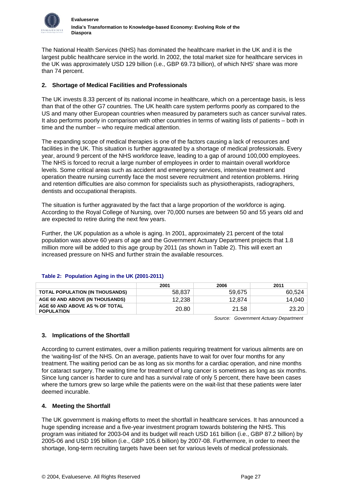

The National Health Services (NHS) has dominated the healthcare market in the UK and it is the largest public healthcare service in the world. In 2002, the total market size for healthcare services in the UK was approximately USD 129 billion (i.e., GBP 69.73 billion), of which NHS' share was more than 74 percent.

## **2. Shortage of Medical Facilities and Professionals**

The UK invests 8.33 percent of its national income in healthcare, which on a percentage basis, is less than that of the other G7 countries. The UK health care system performs poorly as compared to the US and many other European countries when measured by parameters such as cancer survival rates. It also performs poorly in comparison with other countries in terms of waiting lists of patients – both in time and the number – who require medical attention.

The expanding scope of medical therapies is one of the factors causing a lack of resources and facilities in the UK. This situation is further aggravated by a shortage of medical professionals. Every year, around 9 percent of the NHS workforce leave, leading to a gap of around 100,000 employees. The NHS is forced to recruit a large number of employees in order to maintain overall workforce levels. Some critical areas such as accident and emergency services, intensive treatment and operation theatre nursing currently face the most severe recruitment and retention problems. Hiring and retention difficulties are also common for specialists such as physiotherapists, radiographers, dentists and occupational therapists.

The situation is further aggravated by the fact that a large proportion of the workforce is aging. According to the Royal College of Nursing, over 70,000 nurses are between 50 and 55 years old and are expected to retire during the next few years.

Further, the UK population as a whole is aging. In 2001, approximately 21 percent of the total population was above 60 years of age and the Government Actuary Department projects that 1.8 million more will be added to this age group by 2011 (as shown in Table 2). This will exert an increased pressure on NHS and further strain the available resources.

|                                                     | 2001   | 2006   | 2011   |
|-----------------------------------------------------|--------|--------|--------|
| <b>TOTAL POPULATION (IN THOUSANDS)</b>              | 58.837 | 59.675 | 60.524 |
| AGE 60 AND ABOVE (IN THOUSANDS)                     | 12.238 | 12.874 | 14.040 |
| AGE 60 AND ABOVE AS % OF TOTAL<br><b>POPULATION</b> | 20.80  | 21.58  | 23.20  |

## **Table 2: Population Aging in the UK (2001-2011)**

*Source: Government Actuary Department* 

## **3. Implications of the Shortfall**

According to current estimates, over a million patients requiring treatment for various ailments are on the 'waiting-list' of the NHS. On an average, patients have to wait for over four months for any treatment. The waiting period can be as long as six months for a cardiac operation, and nine months for cataract surgery. The waiting time for treatment of lung cancer is sometimes as long as six months. Since lung cancer is harder to cure and has a survival rate of only 5 percent, there have been cases where the tumors grew so large while the patients were on the wait-list that these patients were later deemed incurable.

## **4. Meeting the Shortfall**

The UK government is making efforts to meet the shortfall in healthcare services. It has announced a huge spending increase and a five-year investment program towards bolstering the NHS. This program was initiated for 2003-04 and its budget will reach USD 161 billion (i.e., GBP 87.2 billion) by 2005-06 and USD 195 billion (i.e., GBP 105.6 billion) by 2007-08. Furthermore, in order to meet the shortage, long-term recruiting targets have been set for various levels of medical professionals.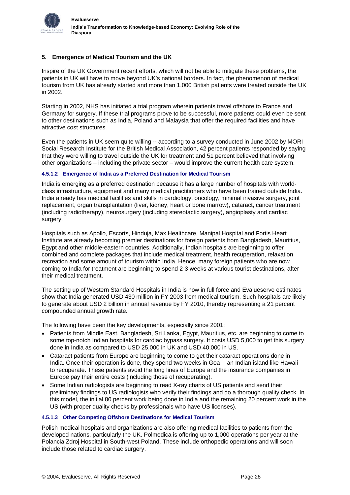

## **5. Emergence of Medical Tourism and the UK**

Inspire of the UK Government recent efforts, which will not be able to mitigate these problems, the patients in UK will have to move beyond UK's national borders. In fact, the phenomenon of medical tourism from UK has already started and more than 1,000 British patients were treated outside the UK in 2002.

Starting in 2002, NHS has initiated a trial program wherein patients travel offshore to France and Germany for surgery. If these trial programs prove to be successful, more patients could even be sent to other destinations such as India, Poland and Malaysia that offer the required facilities and have attractive cost structures.

Even the patients in UK seem quite willing -- according to a survey conducted in June 2002 by MORI Social Research Institute for the British Medical Association, 42 percent patients responded by saying that they were willing to travel outside the UK for treatment and 51 percent believed that involving other organizations – including the private sector – would improve the current health care system.

### **4.5.1.2 Emergence of India as a Preferred Destination for Medical Tourism**

India is emerging as a preferred destination because it has a large number of hospitals with worldclass infrastructure, equipment and many medical practitioners who have been trained outside India. India already has medical facilities and skills in cardiology, oncology, minimal invasive surgery, joint replacement, organ transplantation (liver, kidney, heart or bone marrow), cataract, cancer treatment (including radiotherapy), neurosurgery (including stereotactic surgery), angioplasty and cardiac surgery.

Hospitals such as Apollo, Escorts, Hinduja, Max Healthcare, Manipal Hospital and Fortis Heart Institute are already becoming premier destinations for foreign patients from Bangladesh, Mauritius, Egypt and other middle-eastern countries. Additionally, Indian hospitals are beginning to offer combined and complete packages that include medical treatment, health recuperation, relaxation, recreation and some amount of tourism within India. Hence, many foreign patients who are now coming to India for treatment are beginning to spend 2-3 weeks at various tourist destinations, after their medical treatment.

The setting up of Western Standard Hospitals in India is now in full force and Evalueserve estimates show that India generated USD 430 million in FY 2003 from medical tourism. Such hospitals are likely to generate about USD 2 billion in annual revenue by FY 2010, thereby representing a 21 percent compounded annual growth rate.

The following have been the key developments, especially since 2001:

- Patients from Middle East, Bangladesh, Sri Lanka, Egypt, Mauritius, etc. are beginning to come to some top-notch Indian hospitals for cardiac bypass surgery. It costs USD 5,000 to get this surgery done in India as compared to USD 25,000 in UK and USD 40,000 in US.
- Cataract patients from Europe are beginning to come to get their cataract operations done in India. Once their operation is done, they spend two weeks in Goa -- an Indian island like Hawaii - to recuperate. These patients avoid the long lines of Europe and the insurance companies in Europe pay their entire costs (including those of recuperating).
- Some Indian radiologists are beginning to read X-ray charts of US patients and send their preliminary findings to US radiologists who verify their findings and do a thorough quality check. In this model, the initial 80 percent work being done in India and the remaining 20 percent work in the US (with proper quality checks by professionals who have US licenses).

#### **4.5.1.3 Other Competing Offshore Destinations for Medical Tourism**

Polish medical hospitals and organizations are also offering medical facilities to patients from the developed nations, particularly the UK. Polmedica is offering up to 1,000 operations per year at the Polancia Zdroj Hospital in South-west Poland. These include orthopedic operations and will soon include those related to cardiac surgery.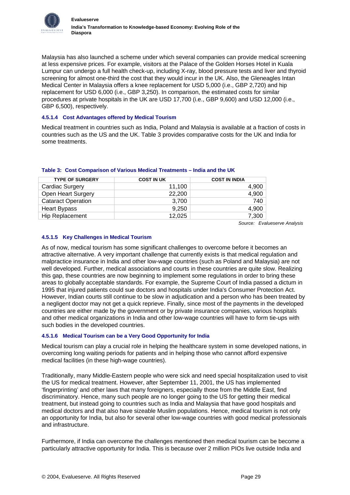

Malaysia has also launched a scheme under which several companies can provide medical screening at less expensive prices. For example, visitors at the Palace of the Golden Horses Hotel in Kuala Lumpur can undergo a full health check-up, including X-ray, blood pressure tests and liver and thyroid screening for almost one-third the cost that they would incur in the UK. Also, the Gleneagles Intan Medical Center in Malaysia offers a knee replacement for USD 5,000 (i.e., GBP 2,720) and hip replacement for USD 6,000 (i.e., GBP 3,250). In comparison, the estimated costs for similar procedures at private hospitals in the UK are USD 17,700 (i.e., GBP 9,600) and USD 12,000 (i.e., GBP 6,500), respectively.

### **4.5.1.4 Cost Advantages offered by Medical Tourism**

Medical treatment in countries such as India, Poland and Malaysia is available at a fraction of costs in countries such as the US and the UK. Table 3 provides comparative costs for the UK and India for some treatments.

| <b>TYPE OF SURGERY</b>    | <b>COST IN UK</b> | <b>COST IN INDIA</b> |
|---------------------------|-------------------|----------------------|
| Cardiac Surgery           | 11,100            | 4.900                |
| Open Heart Surgery        | 22,200            | 4,900                |
| <b>Cataract Operation</b> | 3,700             | 740                  |
| <b>Heart Bypass</b>       | 9.250             | 4.900                |
| Hip Replacement           | 12,025            | 7,300                |

### **Table 3: Cost Comparison of Various Medical Treatments – India and the UK**

*Source: Evalueserve Analysis* 

### **4.5.1.5 Key Challenges in Medical Tourism**

As of now, medical tourism has some significant challenges to overcome before it becomes an attractive alternative. A very important challenge that currently exists is that medical regulation and malpractice insurance in India and other low-wage countries (such as Poland and Malaysia) are not well developed. Further, medical associations and courts in these countries are quite slow. Realizing this gap, these countries are now beginning to implement some regulations in order to bring these areas to globally acceptable standards. For example, the Supreme Court of India passed a dictum in 1995 that injured patients could sue doctors and hospitals under India's Consumer Protection Act. However, Indian courts still continue to be slow in adjudication and a person who has been treated by a negligent doctor may not get a quick reprieve. Finally, since most of the payments in the developed countries are either made by the government or by private insurance companies, various hospitals and other medical organizations in India and other low-wage countries will have to form tie-ups with such bodies in the developed countries.

## **4.5.1.6 Medical Tourism can be a Very Good Opportunity for India**

Medical tourism can play a crucial role in helping the healthcare system in some developed nations, in overcoming long waiting periods for patients and in helping those who cannot afford expensive medical facilities (in these high-wage countries).

Traditionally, many Middle-Eastern people who were sick and need special hospitalization used to visit the US for medical treatment. However, after September 11, 2001, the US has implemented 'fingerprinting' and other laws that many foreigners, especially those from the Middle East, find discriminatory. Hence, many such people are no longer going to the US for getting their medical treatment, but instead going to countries such as India and Malaysia that have good hospitals and medical doctors and that also have sizeable Muslim populations. Hence, medical tourism is not only an opportunity for India, but also for several other low-wage countries with good medical professionals and infrastructure.

Furthermore, if India can overcome the challenges mentioned then medical tourism can be become a particularly attractive opportunity for India. This is because over 2 million PIOs live outside India and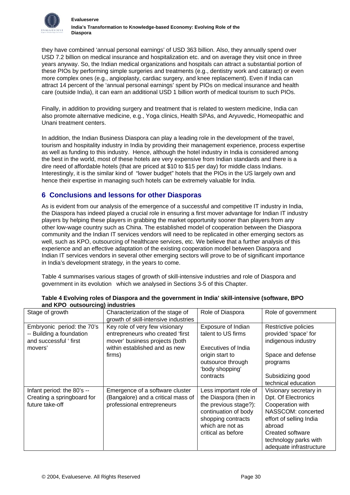<span id="page-31-0"></span>

they have combined 'annual personal earnings' of USD 363 billion. Also, they annually spend over USD 7.2 billion on medical insurance and hospitalization etc. and on average they visit once in three years anyway. So, the Indian medical organizations and hospitals can attract a substantial portion of these PIOs by performing simple surgeries and treatments (e.g., dentistry work and cataract) or even more complex ones (e.g., angioplasty, cardiac surgery, and knee replacement). Even if India can attract 14 percent of the 'annual personal earnings' spent by PIOs on medical insurance and health care (outside India), it can earn an additional USD 1 billion worth of medical tourism to such PIOs.

Finally, in addition to providing surgery and treatment that is related to western medicine, India can also promote alternative medicine, e.g., Yoga clinics, Health SPAs, and Aryuvedic, Homeopathic and Unani treatment centers.

In addition, the Indian Business Diaspora can play a leading role in the development of the travel, tourism and hospitality industry in India by providing their management experience, process expertise as well as funding to this industry. Hence, although the hotel industry in India is considered among the best in the world, most of these hotels are very expensive from Indian standards and there is a dire need of affordable hotels (that are priced at \$10 to \$15 per day) for middle class Indians. Interestingly, it is the similar kind of "lower budget" hotels that the PIOs in the US largely own and hence their expertise in managing such hotels can be extremely valuable for India.

# **6 Conclusions and lessons for other Diasporas**

As is evident from our analysis of the emergence of a successful and competitive IT industry in India, the Diaspora has indeed played a crucial role in ensuring a first mover advantage for Indian IT industry players by helping these players in grabbing the market opportunity sooner than players from any other low-wage country such as China. The established model of cooperation between the Diaspora community and the Indian IT services vendors will need to be replicated in other emerging sectors as well, such as KPO, outsourcing of healthcare services, etc. We believe that a further analysis of this experience and an effective adaptation of the existing cooperation model between Diaspora and Indian IT services vendors in several other emerging sectors will prove to be of significant importance in India's development strategy, in the years to come.

Table 4 summarises various stages of growth of skill-intensive industries and role of Diaspora and government in its evolution which we analysed in Sections 3-5 of this Chapter.

| Stage of growth                                                                            | Characterization of the stage of<br>growth of skill-intensive industries                                                                        | Role of Diaspora                                                                                                                                                 | Role of government                                                                                                                                                                                   |
|--------------------------------------------------------------------------------------------|-------------------------------------------------------------------------------------------------------------------------------------------------|------------------------------------------------------------------------------------------------------------------------------------------------------------------|------------------------------------------------------------------------------------------------------------------------------------------------------------------------------------------------------|
| Embryonic period: the 70's<br>-- Building a foundation<br>and successful 'first<br>movers' | Key role of very few visionary<br>entrepreneurs who created 'first<br>mover' business projects (both<br>within established and as new<br>firms) | Exposure of Indian<br>talent to US firms<br>Executives of India<br>origin start to<br>outsource through<br>'body shopping'<br>contracts                          | Restrictive policies<br>provided 'space' for<br>indigenous industry<br>Space and defense<br>programs<br>Subsidizing good                                                                             |
|                                                                                            |                                                                                                                                                 |                                                                                                                                                                  | technical education                                                                                                                                                                                  |
| Infant period: the 80's --<br>Creating a springboard for<br>future take-off                | Emergence of a software cluster<br>(Bangalore) and a critical mass of<br>professional entrepreneurs                                             | Less important role of<br>the Diaspora (then in<br>the previous stage?):<br>continuation of body<br>shopping contracts<br>which are not as<br>critical as before | Visionary secretary in<br>Dpt. Of Electronics<br>Cooperation with<br>NASSCOM: concerted<br>effort of selling India<br>abroad<br>Created software<br>technology parks with<br>adequate infrastructure |

### **Table 4 Evolving roles of Diaspora and the government in India' skill-intensive (software, BPO and KPO outsourcing) industries**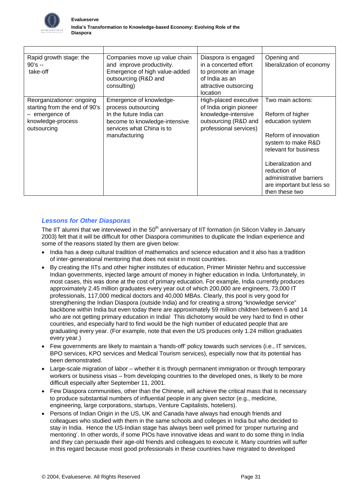

| Rapid growth stage: the<br>$90's -$<br>take-off                                                                  | Companies move up value chain<br>and improve productivity.<br>Emergence of high value-added<br>outsourcing (R&D and<br>consulting)                       | Diaspora is engaged<br>in a concerted effort<br>to promote an image<br>of India as an<br>attractive outsorcing<br>location | Opening and<br>liberalization of economy                                                                                                                                                                                                         |
|------------------------------------------------------------------------------------------------------------------|----------------------------------------------------------------------------------------------------------------------------------------------------------|----------------------------------------------------------------------------------------------------------------------------|--------------------------------------------------------------------------------------------------------------------------------------------------------------------------------------------------------------------------------------------------|
| Reorganizationor: ongoing<br>starting from the end of 90's<br>- emergence of<br>knowledge-process<br>outsourcing | Emergence of knowledge-<br>process outsourcing<br>In the future India can<br>become to knowledge-intensive<br>services what China is to<br>manufacturing | High-placed executive<br>of India origin pioneer<br>knowledge-intensive<br>outsourcing (R&D and<br>professional services)  | Two main actions:<br>Reform of higher<br>education system<br>Reform of innovation<br>system to make R&D<br>relevant for business<br>Liberalization and<br>reduction of<br>administrative barriers<br>are important but less so<br>then these two |

# *Lessons for Other Diasporas*

The IIT alumni that we interviewed in the 50<sup>th</sup> anniversary of IIT formation (in Silicon Valley in January 2003) felt that it will be difficult for other Diaspora communities to duplicate the Indian experience and some of the reasons stated by them are given below:

- India has a deep cultural tradition of mathematics and science education and it also has a tradition of inter-generational mentoring that does not exist in most countries.
- By creating the IITs and other higher institutes of education, Primer Minister Nehru and successive Indian governments, injected large amount of money in higher education in India. Unfortunately, in most cases, this was done at the cost of primary education. For example, India currently produces approximately 2.45 million graduates every year out of which 200,000 are engineers, 73,000 IT professionals, 117,000 medical doctors and 40,000 MBAs. Clearly, this pool is very good for strengthening the Indian Diaspora (outside India) and for creating a strong "knowledge service" backbone within India but even today there are approximately 59 million children between 6 and 14 who are not getting primary education in India! This dichotomy would be very hard to find in other countries, and especially hard to find would be the high number of educated people that are graduating every year. (For example, note that even the US produces only 1.24 million graduates every year.)
- Few governments are likely to maintain a 'hands-off' policy towards such services (i.e., IT services, BPO services, KPO services and Medical Tourism services), especially now that its potential has been demonstrated.
- Large-scale migration of labor whether it is through permanent immigration or through temporary workers or business visas – from developing countries to the developed ones, is likely to be more difficult especially after September 11, 2001.
- Few Diaspora communities, other than the Chinese, will achieve the critical mass that is necessary to produce substantial numbers of influential people in any given sector (e.g., medicine, engineering, large corporations, startups, Venture Capitalists, hoteliers).
- Persons of Indian Origin in the US, UK and Canada have always had enough friends and colleagues who studied with them in the same schools and colleges in India but who decided to stay in India. Hence the US-Indian stage has always been well primed for 'proper nurturing and mentoring'. In other words, if some PIOs have innovative ideas and want to do some thing in India and they can persuade their age-old friends and colleagues to execute it. Many countries will suffer in this regard because most good professionals in these countries have migrated to developed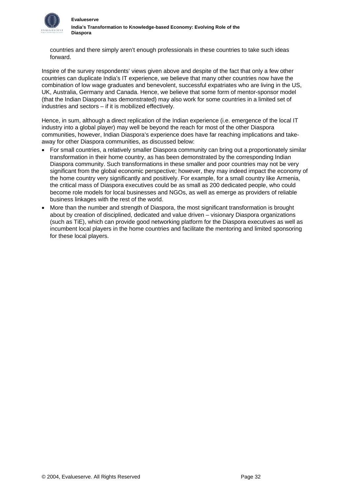

countries and there simply aren't enough professionals in these countries to take such ideas forward.

Inspire of the survey respondents' views given above and despite of the fact that only a few other countries can duplicate India's IT experience, we believe that many other countries now have the combination of low wage graduates and benevolent, successful expatriates who are living in the US, UK, Australia, Germany and Canada. Hence, we believe that some form of mentor-sponsor model (that the Indian Diaspora has demonstrated) may also work for some countries in a limited set of industries and sectors – if it is mobilized effectively.

Hence, in sum, although a direct replication of the Indian experience (i.e. emergence of the local IT industry into a global player) may well be beyond the reach for most of the other Diaspora communities, however, Indian Diaspora's experience does have far reaching implications and takeaway for other Diaspora communities, as discussed below:

- For small countries, a relatively smaller Diaspora community can bring out a proportionately similar transformation in their home country, as has been demonstrated by the corresponding Indian Diaspora community. Such transformations in these smaller and poor countries may not be very significant from the global economic perspective; however, they may indeed impact the economy of the home country very significantly and positively. For example, for a small country like Armenia, the critical mass of Diaspora executives could be as small as 200 dedicated people, who could become role models for local businesses and NGOs, as well as emerge as providers of reliable business linkages with the rest of the world.
- More than the number and strength of Diaspora, the most significant transformation is brought about by creation of disciplined, dedicated and value driven – visionary Diaspora organizations (such as TiE), which can provide good networking platform for the Diaspora executives as well as incumbent local players in the home countries and facilitate the mentoring and limited sponsoring for these local players.